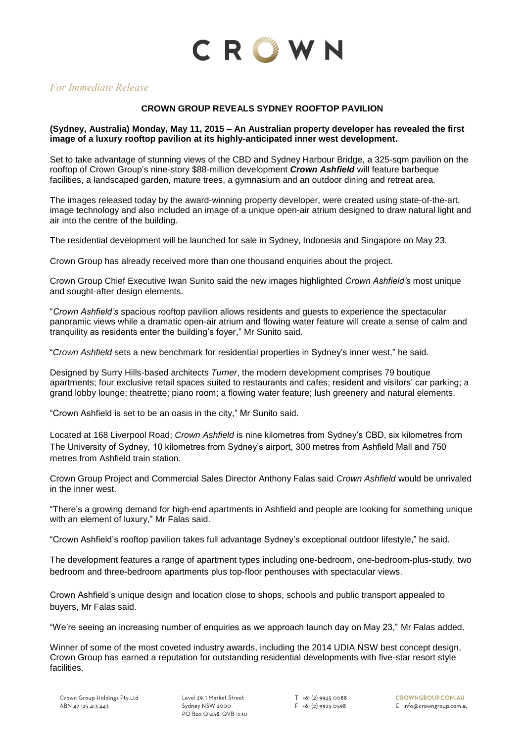

# *For Immediate Release*

### **CROWN GROUP REVEALS SYDNEY ROOFTOP PAVILION**

### **(Sydney, Australia) Monday, May 11, 2015 – An Australian property developer has revealed the first image of a luxury rooftop pavilion at its highly-anticipated inner west development.**

Set to take advantage of stunning views of the CBD and Sydney Harbour Bridge, a 325-sqm pavilion on the rooftop of Crown Group's nine-story \$88-million development *Crown Ashfield* will feature barbeque facilities, a landscaped garden, mature trees, a gymnasium and an outdoor dining and retreat area.

The images released today by the award-winning property developer, were created using state-of-the-art, image technology and also included an image of a unique open-air atrium designed to draw natural light and air into the centre of the building.

The residential development will be launched for sale in Sydney, Indonesia and Singapore on May 23.

Crown Group has already received more than one thousand enquiries about the project.

Crown Group Chief Executive Iwan Sunito said the new images highlighted *Crown Ashfield's* most unique and sought-after design elements.

"*Crown Ashfield's* spacious rooftop pavilion allows residents and guests to experience the spectacular panoramic views while a dramatic open-air atrium and flowing water feature will create a sense of calm and tranquility as residents enter the building's foyer," Mr Sunito said.

"*Crown Ashfield* sets a new benchmark for residential properties in Sydney's inner west," he said.

Designed by Surry Hills-based architects *Turner*, the modern development comprises 79 boutique apartments; four exclusive retail spaces suited to restaurants and cafes; resident and visitors' car parking; a grand lobby lounge; theatrette; piano room; a flowing water feature; lush greenery and natural elements.

"Crown Ashfield is set to be an oasis in the city," Mr Sunito said.

Located at 168 Liverpool Road; *Crown Ashfield* is nine kilometres from Sydney's CBD, six kilometres from The University of Sydney, 10 kilometres from Sydney's airport, 300 metres from Ashfield Mall and 750 metres from Ashfield train station.

Crown Group Project and Commercial Sales Director Anthony Falas said *Crown Ashfield* would be unrivaled in the inner west.

"There's a growing demand for high-end apartments in Ashfield and people are looking for something unique with an element of luxury," Mr Falas said.

"Crown Ashfield's rooftop pavilion takes full advantage Sydney's exceptional outdoor lifestyle," he said.

The development features a range of apartment types including one-bedroom, one-bedroom-plus-study, two bedroom and three-bedroom apartments plus top-floor penthouses with spectacular views.

Crown Ashfield's unique design and location close to shops, schools and public transport appealed to buyers, Mr Falas said.

"We're seeing an increasing number of enquiries as we approach launch day on May 23," Mr Falas added.

Winner of some of the most coveted industry awards, including the 2014 UDIA NSW best concept design, Crown Group has earned a reputation for outstanding residential developments with five-star resort style facilities.

 $T$  +61 (2) 9925 0088 F +61 (2) 9925 0598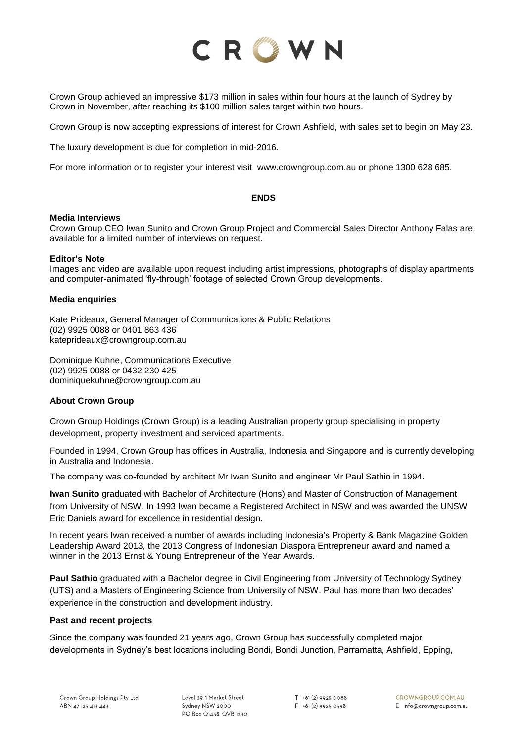

Crown Group achieved an impressive \$173 million in sales within four hours at the launch of Sydney by Crown in November, after reaching its \$100 million sales target within two hours.

Crown Group is now accepting expressions of interest for Crown Ashfield, with sales set to begin on May 23.

The luxury development is due for completion in mid-2016.

For more information or to register your interest visit [www.crowngroup.com.au](http://www.crowngroup.com.au/) or phone 1300 628 685.

#### **ENDS**

#### **Media Interviews**

Crown Group CEO Iwan Sunito and Crown Group Project and Commercial Sales Director Anthony Falas are available for a limited number of interviews on request.

#### **Editor's Note**

Images and video are available upon request including artist impressions, photographs of display apartments and computer-animated 'fly-through' footage of selected Crown Group developments.

#### **Media enquiries**

Kate Prideaux, General Manager of Communications & Public Relations (02) 9925 0088 or 0401 863 436 kateprideaux@crowngroup.com.au

Dominique Kuhne, Communications Executive (02) 9925 0088 or 0432 230 425 dominiquekuhne@crowngroup.com.au

### **About Crown Group**

Crown Group Holdings (Crown Group) is a leading Australian property group specialising in property development, property investment and serviced apartments.

Founded in 1994, Crown Group has offices in Australia, Indonesia and Singapore and is currently developing in Australia and Indonesia.

The company was co-founded by architect Mr Iwan Sunito and engineer Mr Paul Sathio in 1994.

**Iwan Sunito** graduated with Bachelor of Architecture (Hons) and Master of Construction of Management from University of NSW. In 1993 Iwan became a Registered Architect in NSW and was awarded the UNSW Eric Daniels award for excellence in residential design.

In recent years Iwan received a number of awards including Indonesia's Property & Bank Magazine Golden Leadership Award 2013, the 2013 Congress of Indonesian Diaspora Entrepreneur award and named a winner in the 2013 Ernst & Young Entrepreneur of the Year Awards.

**Paul Sathio** graduated with a Bachelor degree in Civil Engineering from University of Technology Sydney (UTS) and a Masters of Engineering Science from University of NSW. Paul has more than two decades' experience in the construction and development industry.

#### **Past and recent projects**

Since the company was founded 21 years ago, Crown Group has successfully completed major developments in Sydney's best locations including Bondi, Bondi Junction, Parramatta, Ashfield, Epping,

Level 29, 1 Market Street Sydney NSW 2000 PO Box Q1438, QVB 1230  $T$  +61 (2) 9925 0088  $F + 61(2)99250598$